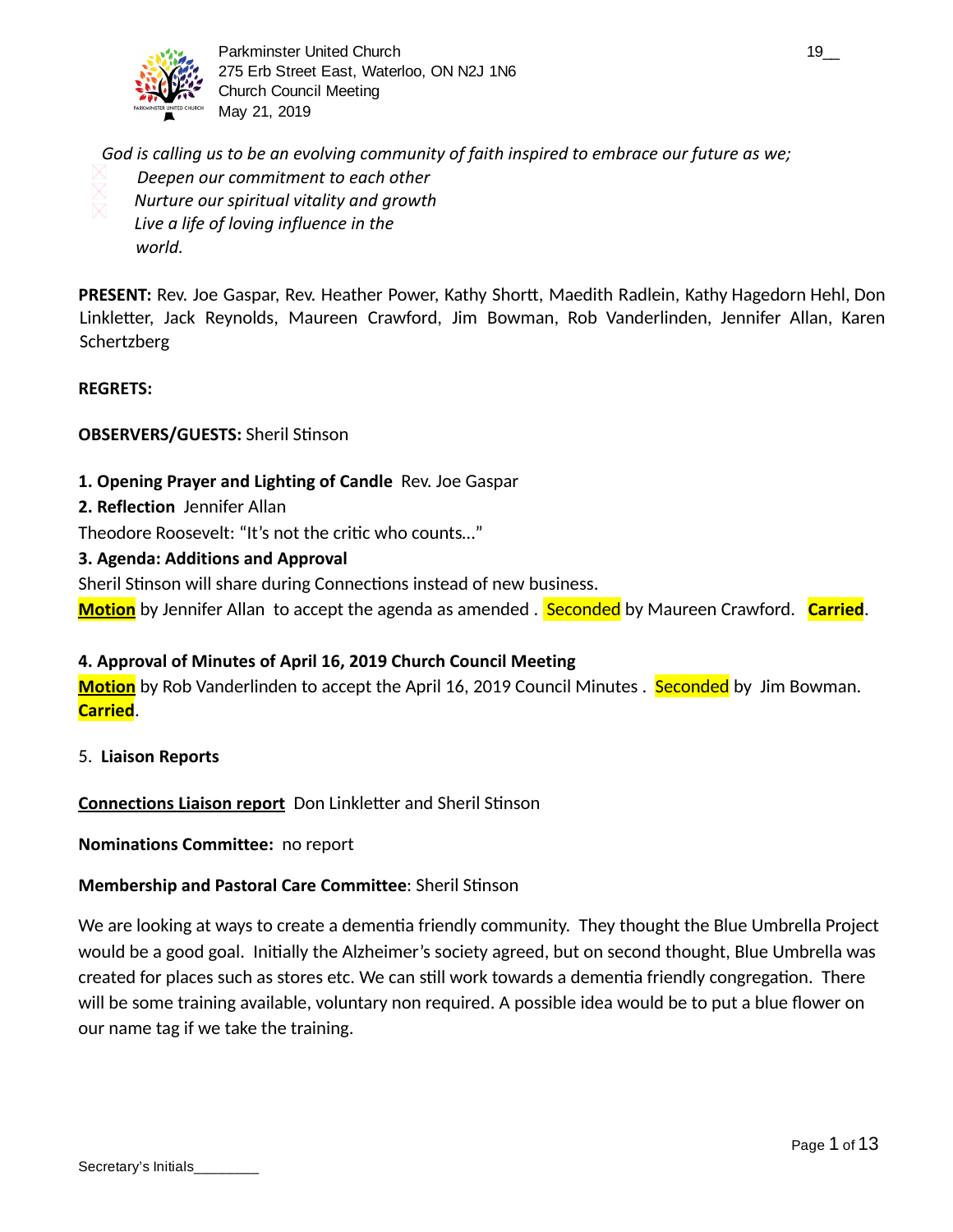

Parkminster United Church 19\_2 and the state of the state of the state of the state of the state of the state of the state of the state of the state of the state of the state of the state of the state of the state of the s 275 Erb Street East, Waterloo, ON N2J 1N6 Church Council Meeting May 21, 2019

*God is calling us to be an evolving community of faith inspired to embrace our future as we; Deepen our commitment to each other Nurture our spiritual vitality and growth Live a life of loving influence in the world.*

**PRESENT:** Rev. Joe Gaspar, Rev. Heather Power, Kathy Shortt, Maedith Radlein, Kathy Hagedorn Hehl, Don Linkletter, Jack Reynolds, Maureen Crawford, Jim Bowman, Rob Vanderlinden, Jennifer Allan, Karen Schertzberg

### **REGRETS:**

### **OBSERVERS/GUESTS: Sheril Stinson**

- **1. Opening Prayer and Lighting of Candle** Rev. Joe Gaspar
- **2. Reflection** Jennifer Allan

Theodore Roosevelt: "It's not the critic who counts..."

**3. Agenda: Additions and Approval**

Sheril Stinson will share during Connections instead of new business.

**Motion** by Jennifer Allan to accept the agenda as amended . **Seconded** by Maureen Crawford. **Carried**.

### **4. Approval of Minutes of April 16, 2019 Church Council Meeting**

**Motion** by Rob Vanderlinden to accept the April 16, 2019 Council Minutes . Seconded by Jim Bowman. **Carried** .

5. **Liaison Reports** 

**Connections Liaison report** Don Linkletter and Sheril Stinson

**Nominations Committee:** no report

### **Membership and Pastoral Care Committee: Sheril Stinson**

We are looking at ways to create a dementia friendly community. They thought the Blue Umbrella Project would be a good goal. Initially the Alzheimer's society agreed, but on second thought, Blue Umbrella was created for places such as stores etc. We can still work towards a dementia friendly congregation. There will be some training available, voluntary non required. A possible idea would be to put a blue flower on our name tag if we take the training.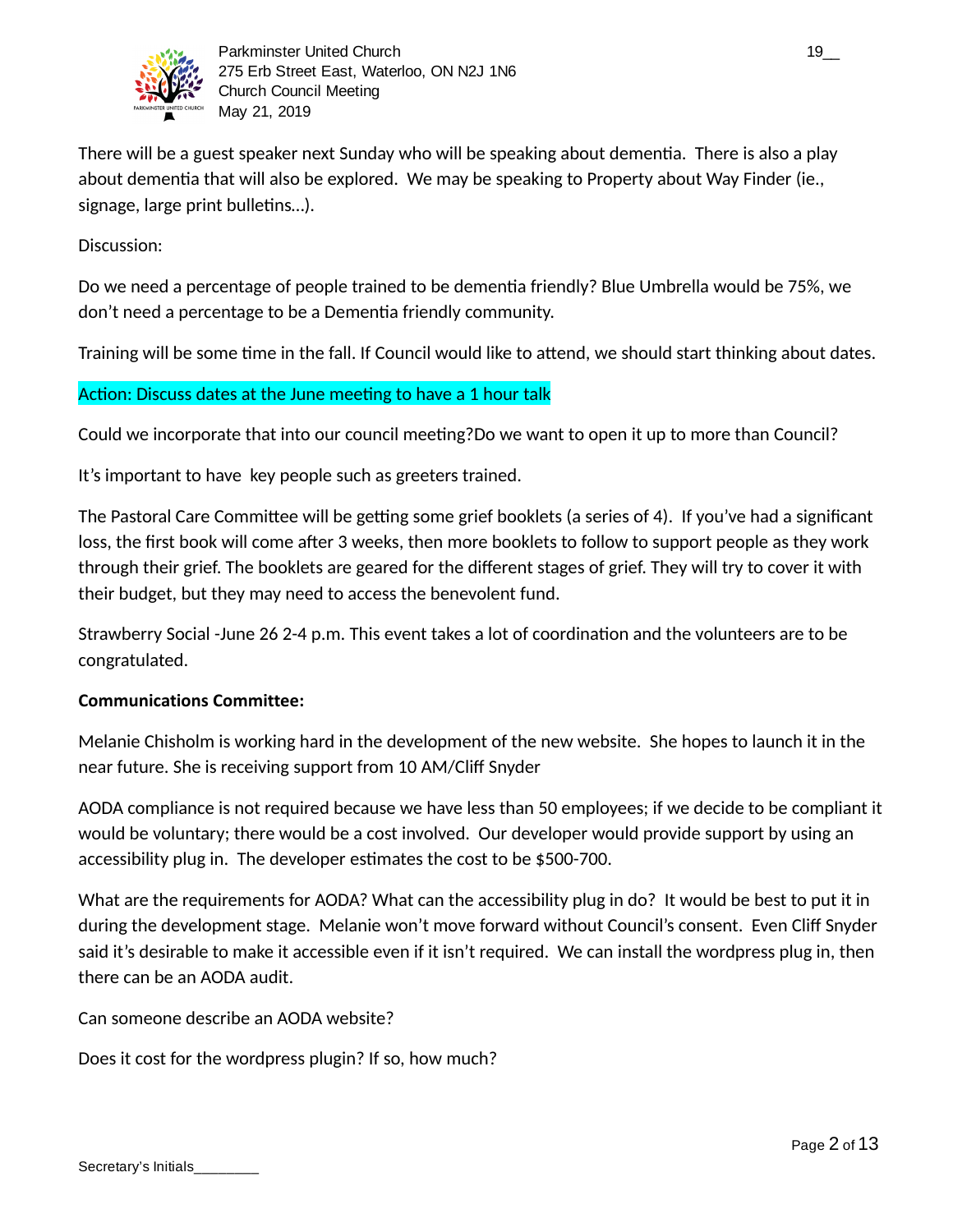

There will be a guest speaker next Sunday who will be speaking about dementia. There is also a play about dementia that will also be explored. We may be speaking to Property about Way Finder (ie., signage, large print bulletins...).

Discussion:

Do we need a percentage of people trained to be dementia friendly? Blue Umbrella would be 75%, we don't need a percentage to be a Dementia friendly community.

Training will be some time in the fall. If Council would like to attend, we should start thinking about dates.

## Action: Discuss dates at the June meeting to have a 1 hour talk

Could we incorporate that into our council meeting?Do we want to open it up to more than Council?

It's important to have key people such as greeters trained.

The Pastoral Care Committee will be getting some grief booklets (a series of 4). If you've had a significant loss, the first book will come after 3 weeks, then more booklets to follow to support people as they work through their grief. The booklets are geared for the different stages of grief. They will try to cover it with their budget, but they may need to access the benevolent fund.

Strawberry Social -June 26 2-4 p.m. This event takes a lot of coordination and the volunteers are to be congratulated.

## **Communications Committee:**

Melanie Chisholm is working hard in the development of the new website. She hopes to launch it in the near future. She is receiving support from 10 AM/Cliff Snyder

AODA compliance is not required because we have less than 50 employees; if we decide to be compliant it would be voluntary; there would be a cost involved. Our developer would provide support by using an accessibility plug in. The developer estimates the cost to be \$500-700.

What are the requirements for AODA? What can the accessibility plug in do? It would be best to put it in during the development stage. Melanie won't move forward without Council's consent. Even Cliff Snyder said it's desirable to make it accessible even if it isn't required. We can install the wordpress plug in, then there can be an AODA audit.

Can someone describe an AODA website?

Does it cost for the wordpress plugin? If so, how much?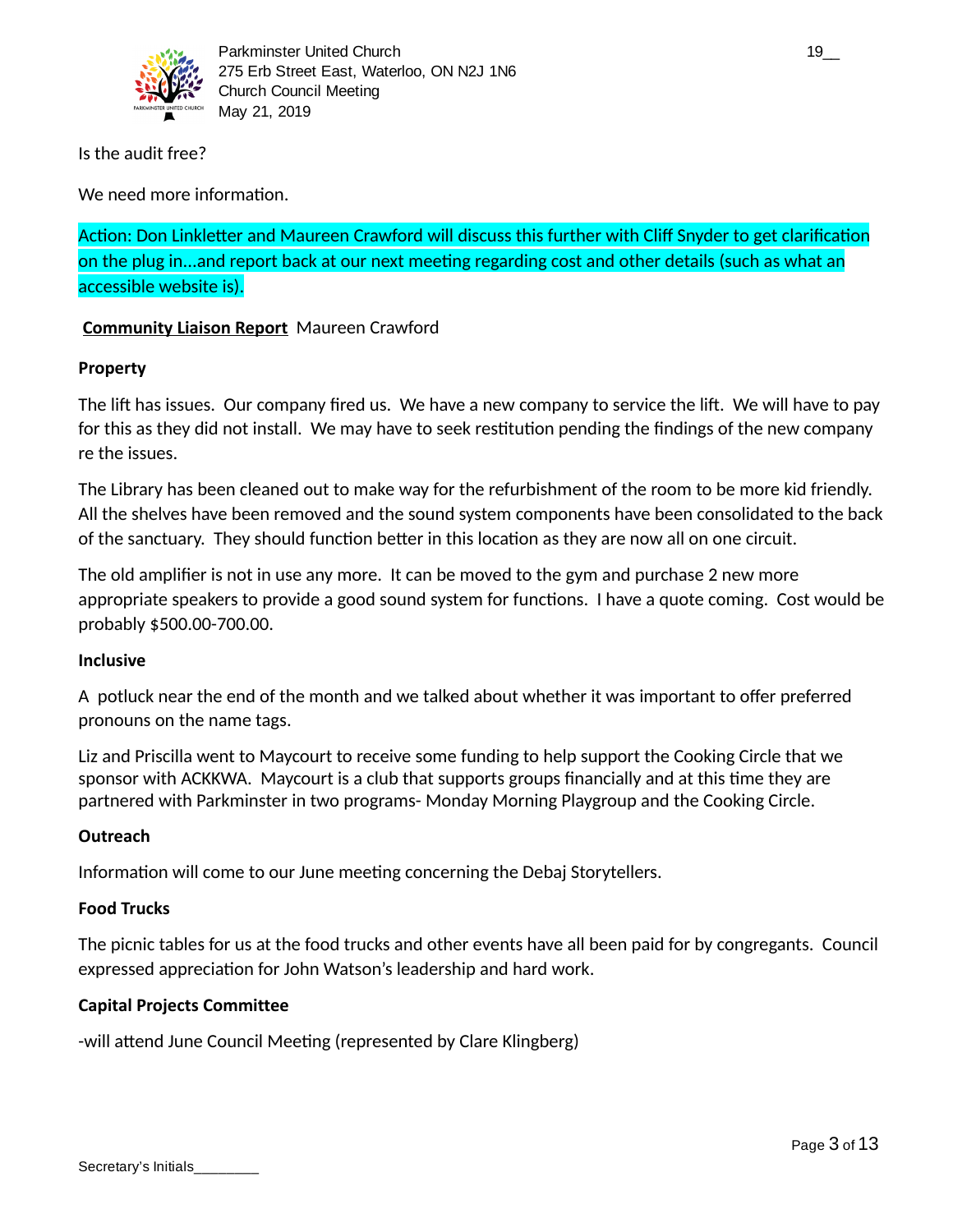

Is the audit free?

We need more information.

Action: Don Linkletter and Maureen Crawford will discuss this further with Cliff Snyder to get clarification on the plug in...and report back at our next meeting regarding cost and other details (such as what an accessible website is).

## **Community Liaison Report** Maureen Crawford

## **Property**

The lift has issues. Our company fired us. We have a new company to service the lift. We will have to pay for this as they did not install. We may have to seek restitution pending the findings of the new company re the issues.

The Library has been cleaned out to make way for the refurbishment of the room to be more kid friendly. All the shelves have been removed and the sound system components have been consolidated to the back of the sanctuary. They should function better in this location as they are now all on one circuit.

The old amplifier is not in use any more. It can be moved to the gym and purchase 2 new more appropriate speakers to provide a good sound system for functions. I have a quote coming. Cost would be probably \$500.00-700.00.

### **Inclusive**

A potluck near the end of the month and we talked about whether it was important to offer preferred pronouns on the name tags.

Liz and Priscilla went to Maycourt to receive some funding to help support the Cooking Circle that we sponsor with ACKKWA. Maycourt is a club that supports groups financially and at this time they are partnered with Parkminster in two programs- Monday Morning Playgroup and the Cooking Circle.

## **Outreach**

Information will come to our June meeting concerning the Debaj Storytellers.

### **Food Trucks**

The picnic tables for us at the food trucks and other events have all been paid for by congregants. Council expressed appreciation for John Watson's leadership and hard work.

## **Capital Projects Committee**

-will attend June Council Meeting (represented by Clare Klingberg)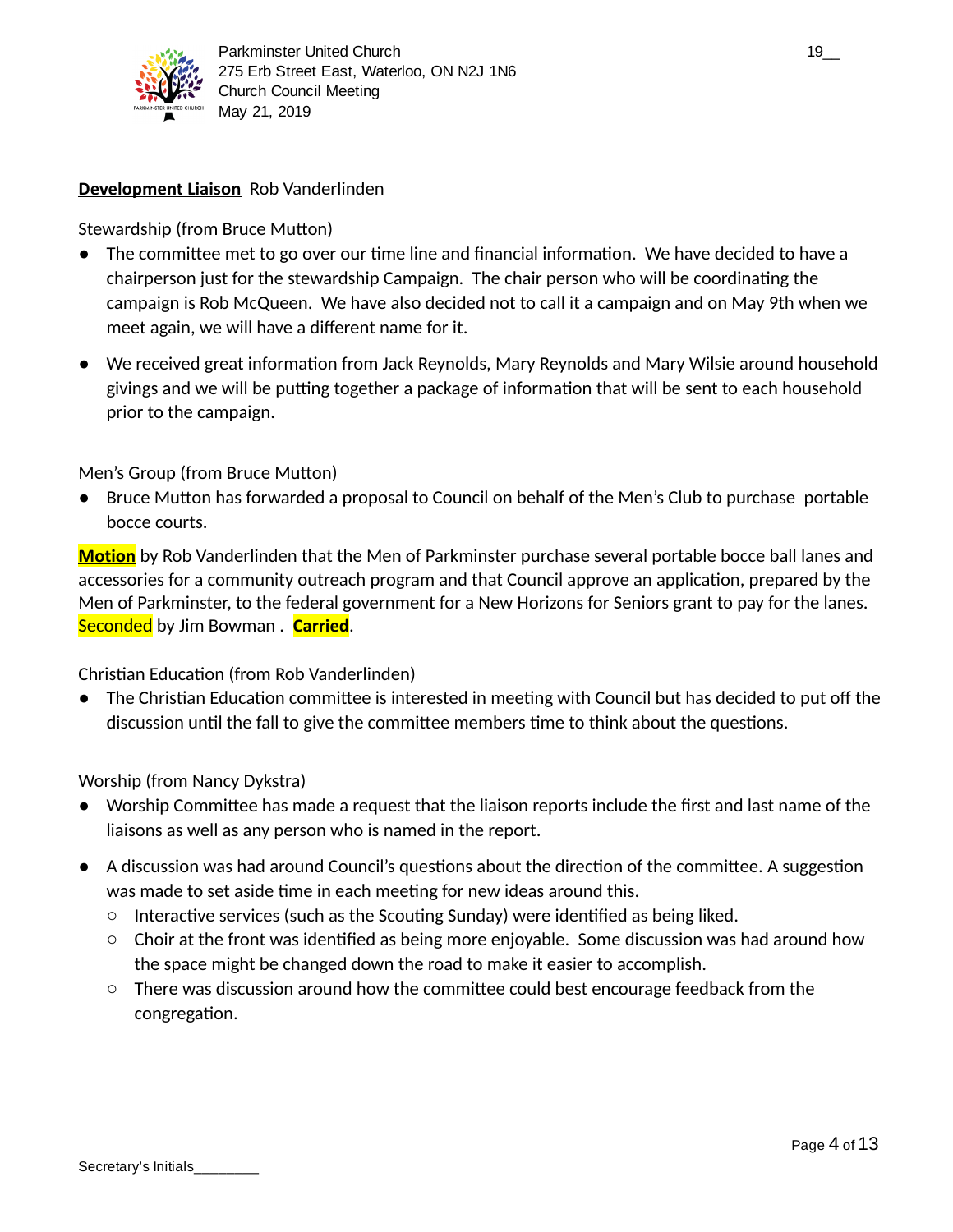

### **Development Liaison** Rob Vanderlinden

Stewardship (from Bruce Mutton)

- $\bullet$  The committee met to go over our time line and financial information. We have decided to have a chairperson just for the stewardship Campaign. The chair person who will be coordinating the campaign is Rob McQueen. We have also decided not to call it a campaign and on May 9th when we meet again, we will have a different name for it.
- $\bullet$  We received great information from Jack Reynolds, Mary Reynolds and Mary Wilsie around household givings and we will be putting together a package of information that will be sent to each household prior to the campaign.

### Men's Group (from Bruce Mutton)

• Bruce Mutton has forwarded a proposal to Council on behalf of the Men's Club to purchase portable bocce courts.

**Motion** by Rob Vanderlinden that the Men of Parkminster purchase several portable bocce ball lanes and accessories for a community outreach program and that Council approve an application, prepared by the Men of Parkminster, to the federal government for a New Horizons for Seniors grant to pay for the lanes. Seconded by Jim Bowman . **Carried**.

### Christian Education (from Rob Vanderlinden)

 $\bullet$  The Christian Education committee is interested in meeting with Council but has decided to put off the discussion until the fall to give the committee members time to think about the questions.

Worship (from Nancy Dykstra)

- $\bullet$  Worship Committee has made a request that the liaison reports include the first and last name of the liaisons as well as any person who is named in the report.
- $\bullet$  A discussion was had around Council's questions about the direction of the committee. A suggestion was made to set aside time in each meeting for new ideas around this.
	- $\circ$  Interactive services (such as the Scouting Sunday) were identified as being liked.
	- Choir at the front was identified as being more enjoyable. Some discussion was had around how the space might be changed down the road to make it easier to accomplish.
	- $\circ$  There was discussion around how the committee could best encourage feedback from the congregation.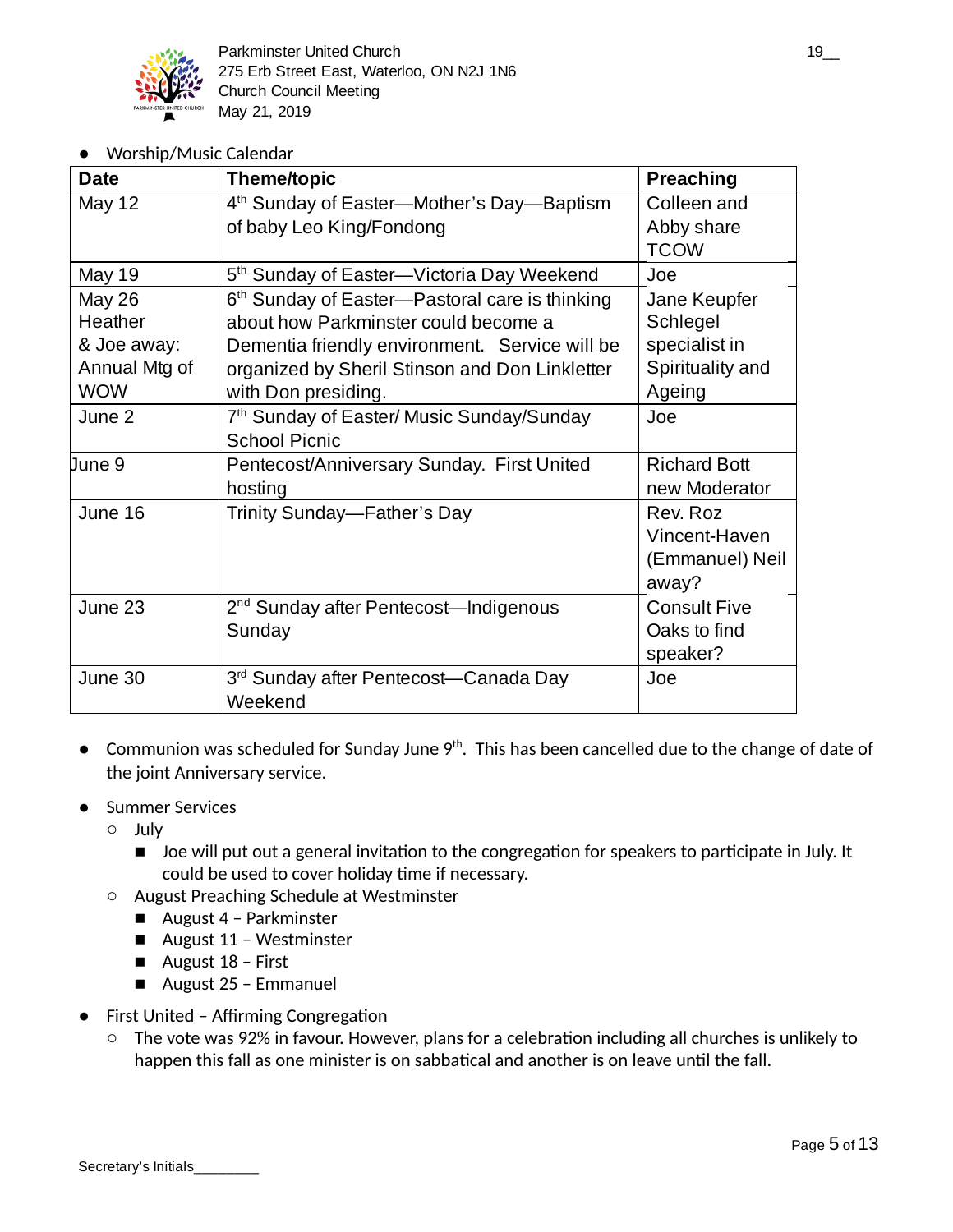

Worship/Music Calendar

| <b>Date</b>   | <b>Theme/topic</b>                                           | <b>Preaching</b>    |
|---------------|--------------------------------------------------------------|---------------------|
| <b>May 12</b> | 4 <sup>th</sup> Sunday of Easter—Mother's Day—Baptism        | Colleen and         |
|               | of baby Leo King/Fondong                                     | Abby share          |
|               |                                                              | <b>TCOW</b>         |
| <b>May 19</b> | 5 <sup>th</sup> Sunday of Easter—Victoria Day Weekend        | Joe                 |
| <b>May 26</b> | 6 <sup>th</sup> Sunday of Easter—Pastoral care is thinking   | Jane Keupfer        |
| Heather       | about how Parkminster could become a                         | Schlegel            |
| & Joe away:   | Dementia friendly environment. Service will be               | specialist in       |
| Annual Mtg of | organized by Sheril Stinson and Don Linkletter               | Spirituality and    |
| <b>WOW</b>    | with Don presiding.                                          | Ageing              |
| June 2        | 7 <sup>th</sup> Sunday of Easter/ Music Sunday/Sunday        | Joe                 |
|               | <b>School Picnic</b>                                         |                     |
| June 9        | Pentecost/Anniversary Sunday. First United                   | <b>Richard Bott</b> |
|               | hosting                                                      | new Moderator       |
| June 16       | Trinity Sunday—Father's Day                                  | Rev. Roz            |
|               |                                                              | Vincent-Haven       |
|               |                                                              | (Emmanuel) Neil     |
|               |                                                              | away?               |
| June 23       | 2 <sup>nd</sup> Sunday after Pentecost—Indigenous            | <b>Consult Five</b> |
|               | Sunday                                                       | Oaks to find        |
|               |                                                              | speaker?            |
| June 30       | 3 <sup>rd</sup> Sunday after Pentecost—Canada Day<br>Weekend | Joe                 |

- $\bullet$  Communion was scheduled for Sunday June 9<sup>th</sup>. This has been cancelled due to the change of date of the joint Anniversary service.
- Summer Services
	- July
		- Joe will put out a general invitation to the congregation for speakers to participate in July. It could be used to cover holiday time if necessary.
	- August Preaching Schedule at Westminster
		- August 4 Parkminster
		- August 11 Westminster
		- August 18 First
		- August 25 Emmanuel
- First United Affirming Congregation
	- The vote was 92% in favour. However, plans for a celebration including all churches is unlikely to happen this fall as one minister is on sabbatical and another is on leave until the fall.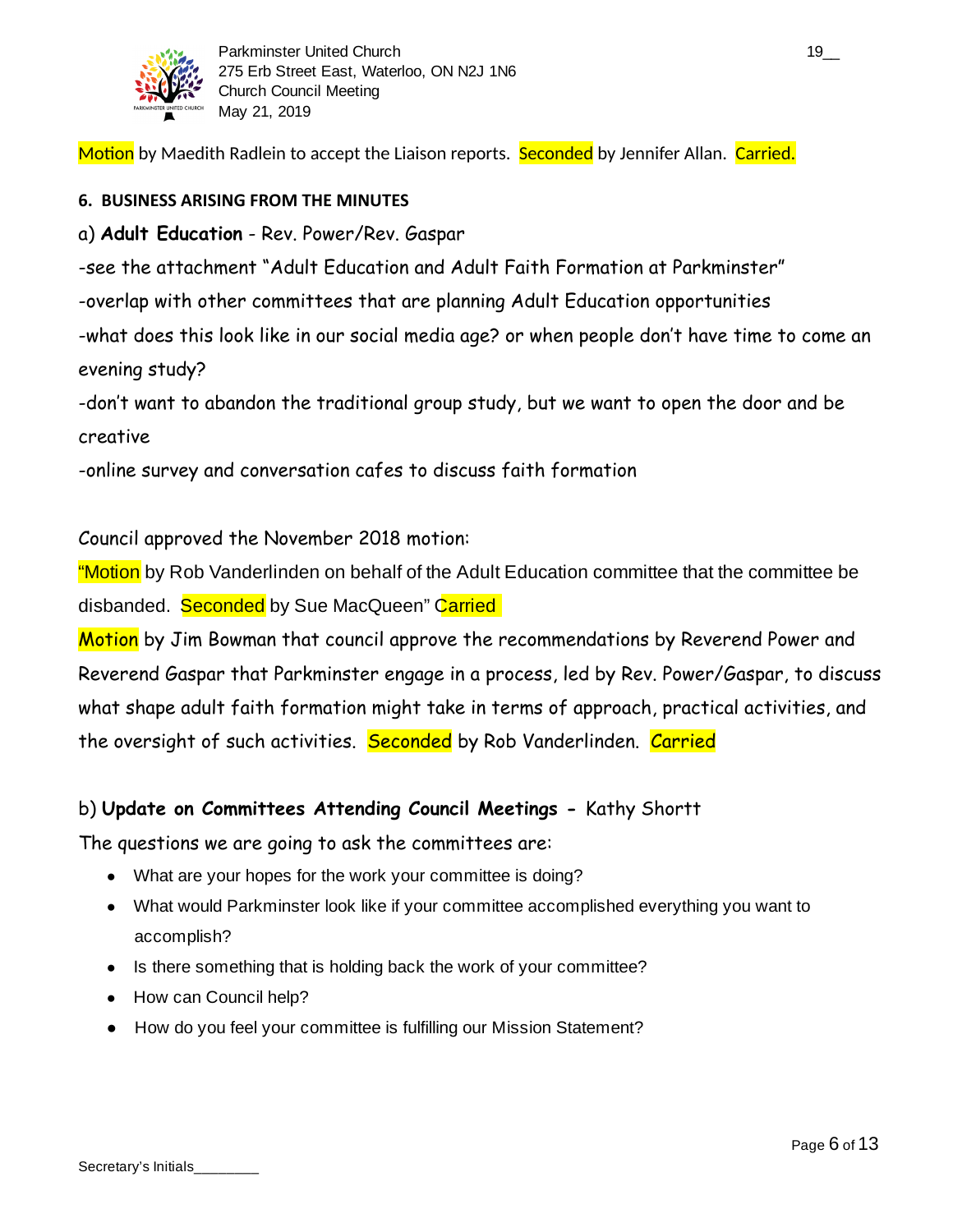

Motion by Maedith Radlein to accept the Liaison reports. Seconded by Jennifer Allan. Carried.

## **6. BUSINESS ARISING FROM THE MINUTES**

# a) **Adult Education** - Rev. Power/Rev. Gaspar

-see the attachment "Adult Education and Adult Faith Formation at Parkminster"

-overlap with other committees that are planning Adult Education opportunities

-what does this look like in our social media age? or when people don't have time to come an evening study?

-don't want to abandon the traditional group study, but we want to open the door and be creative

-online survey and conversation cafes to discuss faith formation

# Council approved the November 2018 motion:

"Motion by Rob Vanderlinden on behalf of the Adult Education committee that the committee be disbanded. Seconded by Sue MacQueen" Carried

Motion by Jim Bowman that council approve the recommendations by Reverend Power and Reverend Gaspar that Parkminster engage in a process, led by Rev. Power/Gaspar, to discuss what shape adult faith formation might take in terms of approach, practical activities, and the oversight of such activities. Seconded by Rob Vanderlinden. Carried

# b) **Update on Committees Attending Council Meetings -** Kathy Shortt

The questions we are going to ask the committees are:

- What are your hopes for the work your committee is doing?
- What would Parkminster look like if your committee accomplished everything you want to accomplish?
- Is there something that is holding back the work of your committee?
- How can Council help?
- How do you feel your committee is fulfilling our Mission Statement?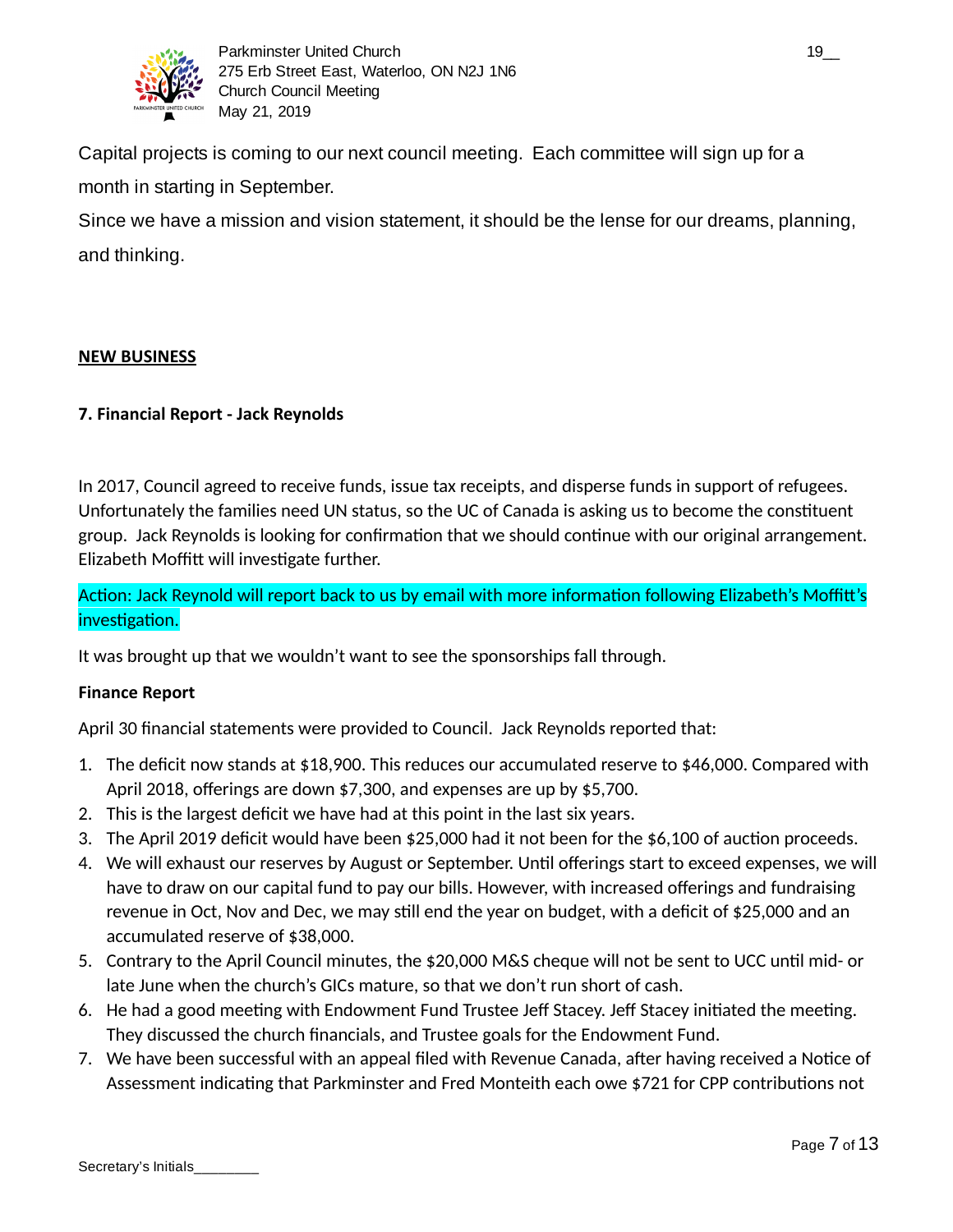

Capital projects is coming to our next council meeting. Each committee will sign up for a month in starting in September.

Since we have a mission and vision statement, it should be the lense for our dreams, planning, and thinking.

### **NEW BUSINESS**

### **7. Financial Report - Jack Reynolds**

In 2017, Council agreed to receive funds, issue tax receipts, and disperse funds in support of refugees. Unfortunately the families need UN status, so the UC of Canada is asking us to become the constituent group. Jack Reynolds is looking for confirmation that we should continue with our original arrangement. Elizabeth Moffitt will investigate further.

Action: Jack Reynold will report back to us by email with more information following Elizabeth's Moffitt's investigation.

It was brought up that we wouldn't want to see the sponsorships fall through.

### **Finance Report**

April 30 financial statements were provided to Council. Jack Reynolds reported that:

- 1. The deficit now stands at \$18,900. This reduces our accumulated reserve to \$46,000. Compared with April 2018, offerings are down \$7,300, and expenses are up by \$5,700.
- 2. This is the largest deficit we have had at this point in the last six years.
- 3. The April 2019 deficit would have been \$25,000 had it not been for the \$6,100 of auction proceeds.
- 4. We will exhaust our reserves by August or September. Until offerings start to exceed expenses, we will have to draw on our capital fund to pay our bills. However, with increased offerings and fundraising revenue in Oct, Nov and Dec, we may still end the year on budget, with a deficit of \$25,000 and an accumulated reserve of \$38,000.
- 5. Contrary to the April Council minutes, the \$20,000 M&S cheque will not be sent to UCC until mid- or late June when the church's GICs mature, so that we don't run short of cash.
- 6. He had a good meeting with Endowment Fund Trustee Jeff Stacey. Jeff Stacey initiated the meeting. They discussed the church financials, and Trustee goals for the Endowment Fund.
- 7. We have been successful with an appeal filed with Revenue Canada, after having received a Notice of Assessment indicating that Parkminster and Fred Monteith each owe \$721 for CPP contributions not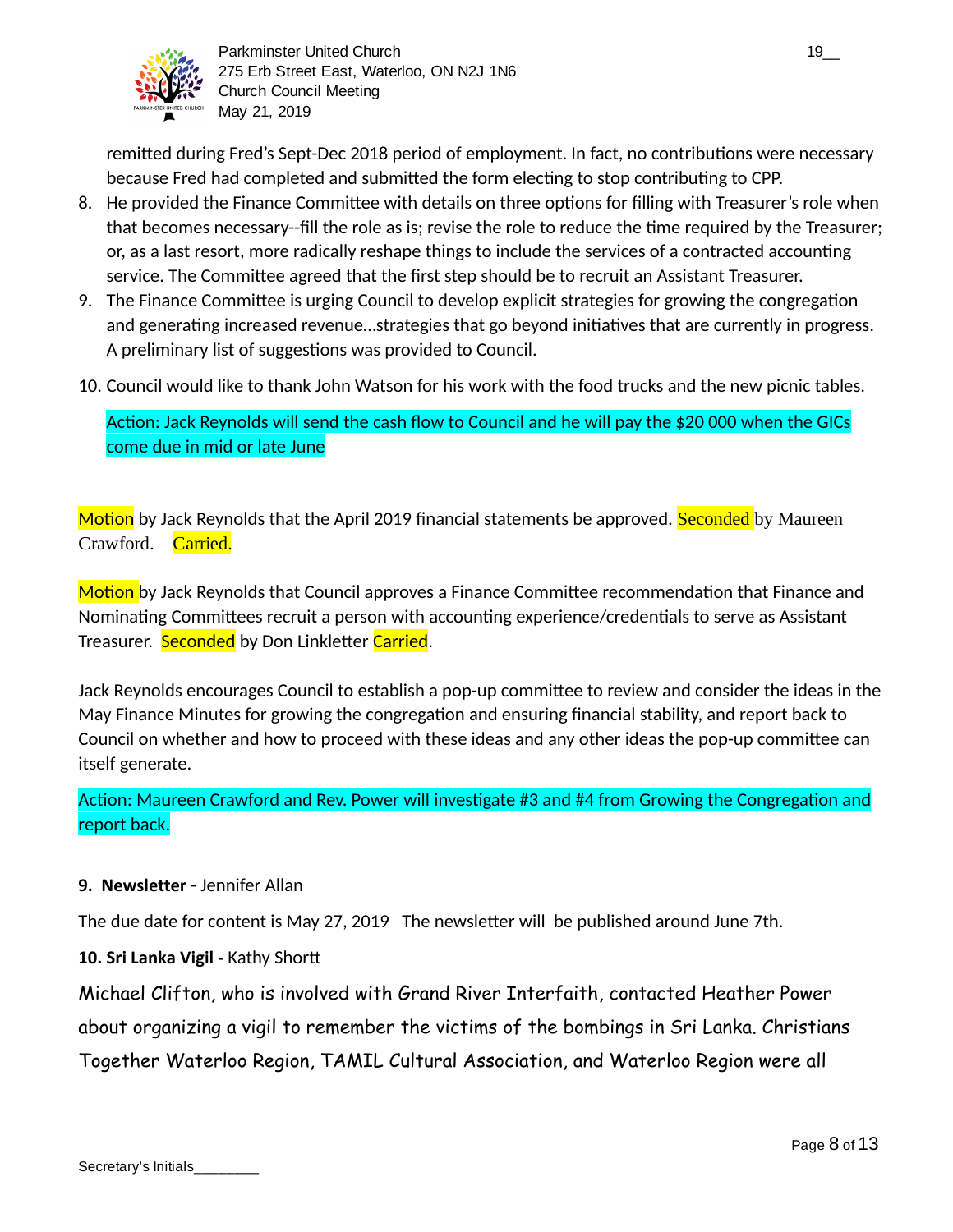

remitted during Fred's Sept-Dec 2018 period of employment. In fact, no contributions were necessary because Fred had completed and submitted the form electing to stop contributing to CPP.

- 8. He provided the Finance Committee with details on three options for filling with Treasurer's role when that becomes necessary--fill the role as is; revise the role to reduce the time required by the Treasurer; or, as a last resort, more radically reshape things to include the services of a contracted accounting service. The Committee agreed that the first step should be to recruit an Assistant Treasurer.
- 9. The Finance Committee is urging Council to develop explicit strategies for growing the congregation and generating increased revenue...strategies that go beyond initiatives that are currently in progress. A preliminary list of suggestions was provided to Council.
- 10. Council would like to thank John Watson for his work with the food trucks and the new picnic tables.

Action: Jack Reynolds will send the cash flow to Council and he will pay the \$20 000 when the GICs come due in mid or late June

Motion by Jack Reynolds that the April 2019 financial statements be approved. Seconded by Maureen Crawford. Carried.

Motion by Jack Reynolds that Council approves a Finance Committee recommendation that Finance and Nominating Committees recruit a person with accounting experience/credentials to serve as Assistant Treasurer. Seconded by Don Linkletter Carried.

Jack Reynolds encourages Council to establish a pop-up committee to review and consider the ideas in the May Finance Minutes for growing the congregation and ensuring financial stability, and report back to Council on whether and how to proceed with these ideas and any other ideas the pop-up committee can itself generate.

Action: Maureen Crawford and Rev. Power will investigate #3 and #4 from Growing the Congregation and report back.

## **9. Newsletter** - Jennifer Allan

The due date for content is May 27, 2019 The newsletter will be published around June 7th.

## 10. Sri Lanka Vigil - Kathy Shortt

Michael Clifton, who is involved with Grand River Interfaith, contacted Heather Power about organizing a vigil to remember the victims of the bombings in Sri Lanka. Christians Together Waterloo Region, TAMIL Cultural Association, and Waterloo Region were all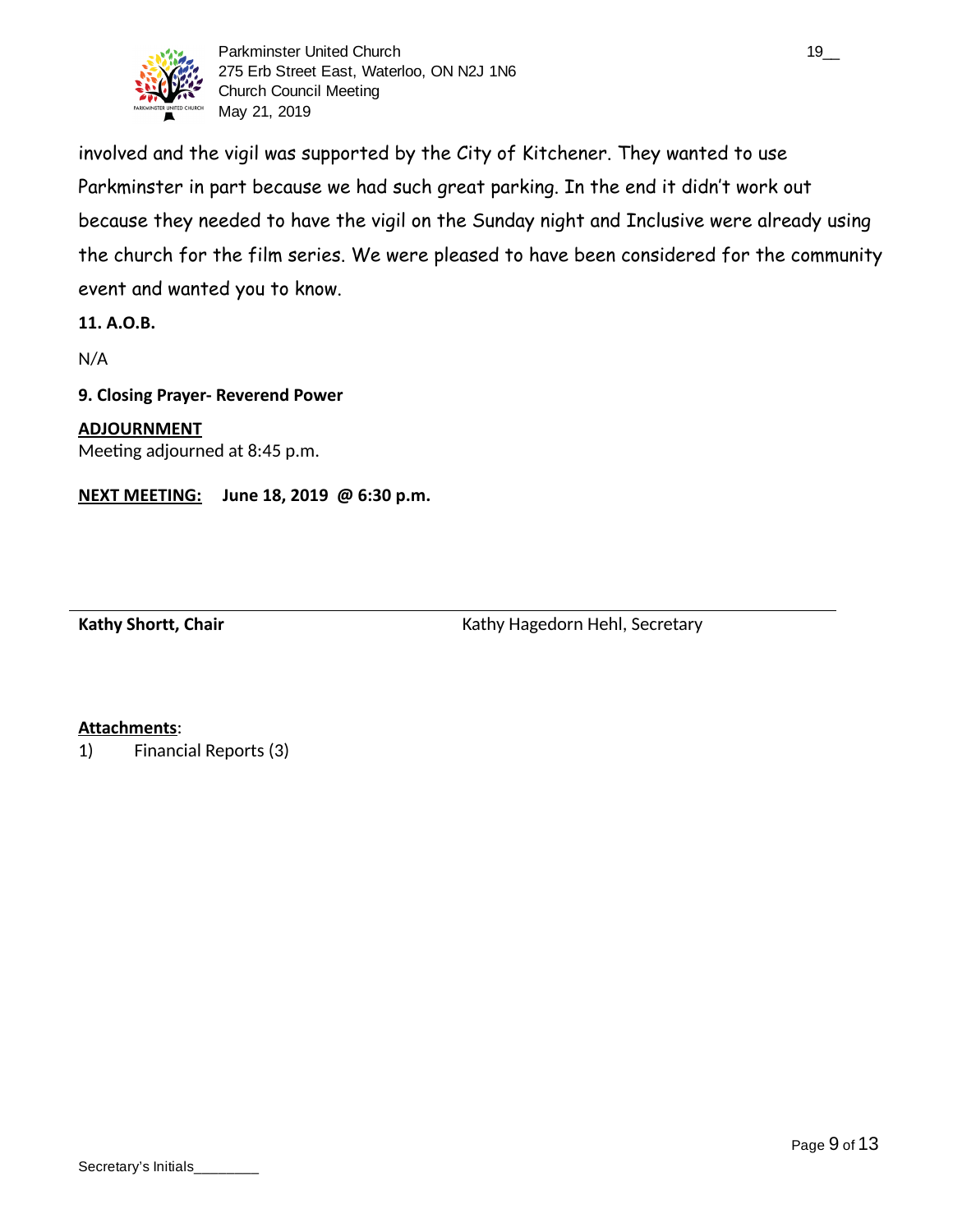

Parkminster United Church 19\_000 and 19\_000 and 19\_000 and 19\_000 and 19\_000 and 19\_000 and 19\_000 and 19\_000 and 19\_000 and 19\_000 and 19\_000 and 19\_000 and 19\_000 and 19\_000 and 19\_000 and 19\_000 and 19\_000 and 19\_000 an 275 Erb Street East, Waterloo, ON N2J 1N6 Church Council Meeting May 21, 2019

involved and the vigil was supported by the City of Kitchener. They wanted to use Parkminster in part because we had such great parking. In the end it didn't work out because they needed to have the vigil on the Sunday night and Inclusive were already using the church for the film series. We were pleased to have been considered for the community event and wanted you to know.

**11. A.O.B.**

N/A

### **9. Closing Prayer- Reverend Power**

**ADJOURNMENT** Meeting adjourned at 8:45 p.m.

**NEXT MEETING: June 18, 2019 @ 6:30 p.m.**

Kathy Shortt, Chair **Kathy Hagedorn Hehl, Secretary** Kathy Hagedorn Hehl, Secretary

### **Attachments** :

1) Financial Reports (3)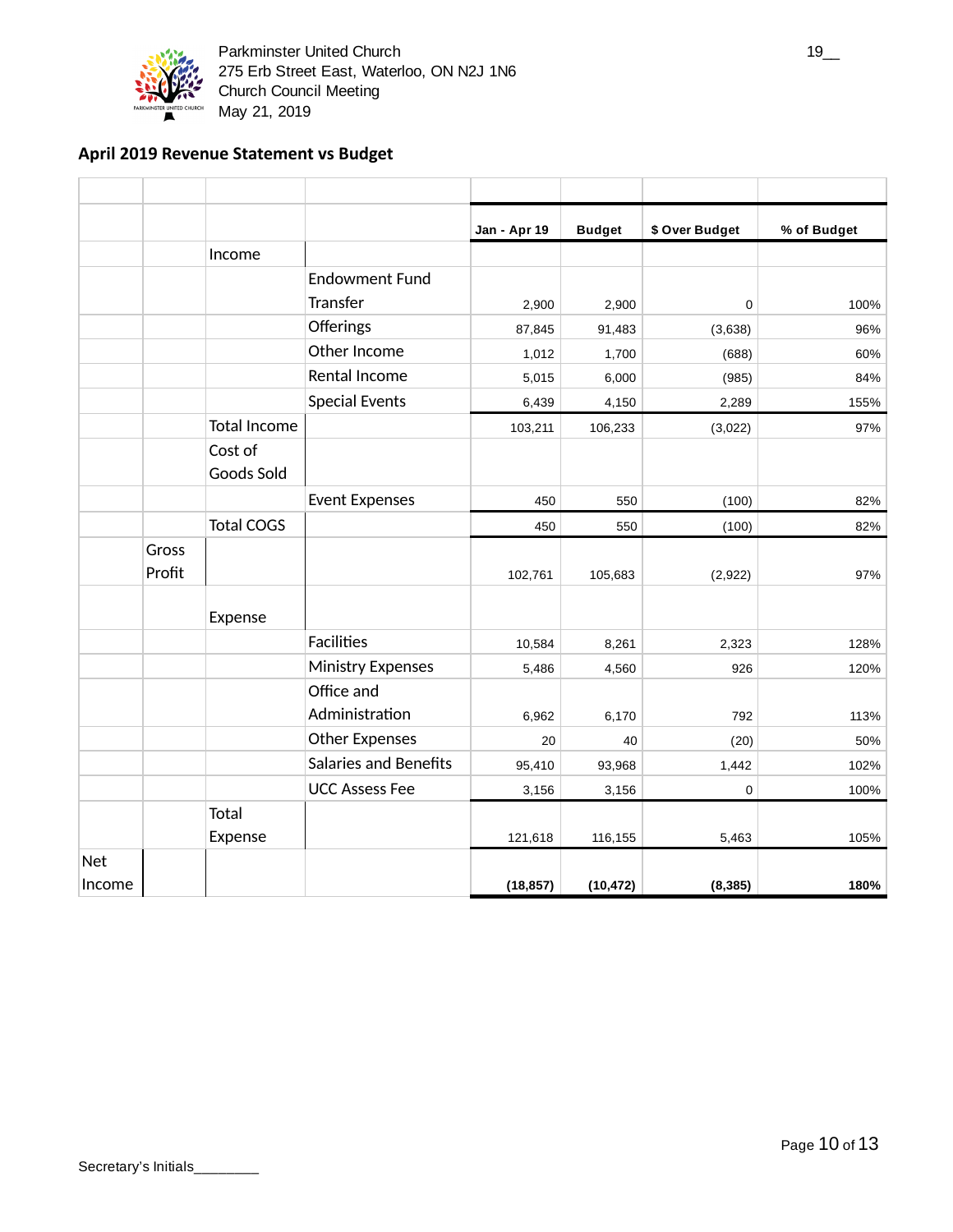

Parkminster United Church 19\_2 and 19\_2 and 19\_2 and 19\_2 and 19\_2 and 19\_2 and 19\_2 and 19\_2 and 19\_2 and 19\_ 275 Erb Street East, Waterloo, ON N2J 1N6 Church Council Meeting May 21, 2019

## **April 2019 Revenue Statement vs Budget**

|            |        |                       |                              | Jan - Apr 19 | <b>Budget</b> | \$ Over Budget | % of Budget |
|------------|--------|-----------------------|------------------------------|--------------|---------------|----------------|-------------|
|            |        | Income                |                              |              |               |                |             |
|            |        |                       | <b>Endowment Fund</b>        |              |               |                |             |
|            |        |                       | Transfer                     | 2,900        | 2,900         | 0              | 100%        |
|            |        |                       | Offerings                    | 87,845       | 91,483        | (3,638)        | 96%         |
|            |        |                       | Other Income                 | 1,012        | 1,700         | (688)          | 60%         |
|            |        |                       | Rental Income                | 5,015        | 6,000         | (985)          | 84%         |
|            |        |                       | <b>Special Events</b>        | 6,439        | 4,150         | 2,289          | 155%        |
|            |        | <b>Total Income</b>   |                              | 103,211      | 106,233       | (3,022)        | 97%         |
|            |        | Cost of<br>Goods Sold |                              |              |               |                |             |
|            |        |                       | <b>Event Expenses</b>        | 450          | 550           | (100)          | 82%         |
|            |        | <b>Total COGS</b>     |                              | 450          | 550           | (100)          | 82%         |
|            | Gross  |                       |                              |              |               |                |             |
|            | Profit |                       |                              | 102,761      | 105,683       | (2,922)        | 97%         |
|            |        | Expense               |                              |              |               |                |             |
|            |        |                       | <b>Facilities</b>            | 10,584       | 8,261         | 2,323          | 128%        |
|            |        |                       | <b>Ministry Expenses</b>     | 5,486        | 4,560         | 926            | 120%        |
|            |        |                       | Office and                   |              |               |                |             |
|            |        |                       | Administration               | 6,962        | 6,170         | 792            | 113%        |
|            |        |                       | <b>Other Expenses</b>        | 20           | 40            | (20)           | 50%         |
|            |        |                       | <b>Salaries and Benefits</b> | 95,410       | 93,968        | 1,442          | 102%        |
|            |        |                       | <b>UCC Assess Fee</b>        | 3,156        | 3,156         | 0              | 100%        |
|            |        | Total                 |                              |              |               |                |             |
|            |        | Expense               |                              | 121,618      | 116,155       | 5,463          | 105%        |
| <b>Net</b> |        |                       |                              |              |               |                |             |
| Income     |        |                       |                              | (18, 857)    | (10, 472)     | (8, 385)       | 180%        |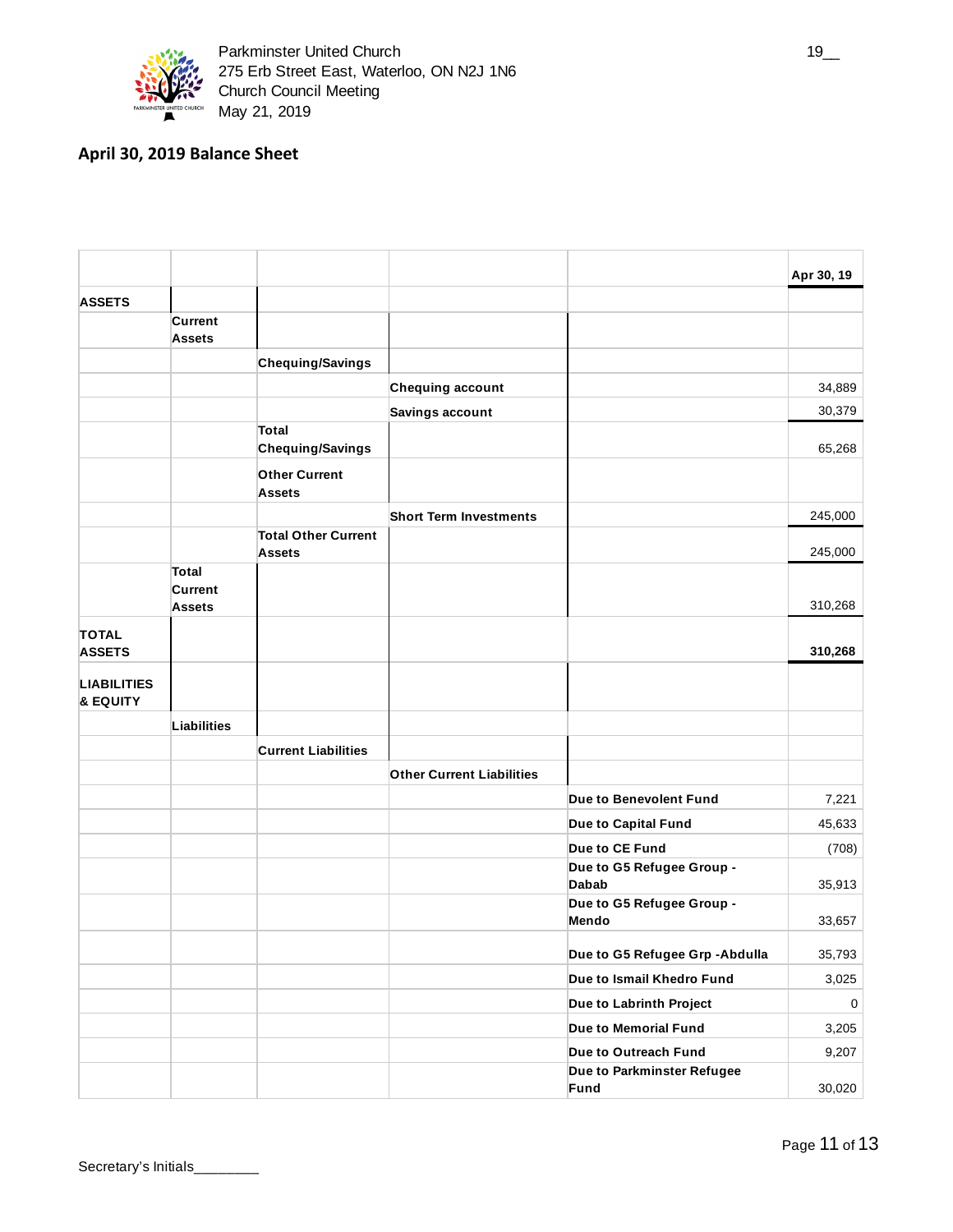

## **April 30, 2019 Balance Sheet**

|                                |                                          |                                             |                                  |                                           | Apr 30, 19 |
|--------------------------------|------------------------------------------|---------------------------------------------|----------------------------------|-------------------------------------------|------------|
| <b>ASSETS</b>                  |                                          |                                             |                                  |                                           |            |
|                                | <b>Current</b><br>Assets                 |                                             |                                  |                                           |            |
|                                |                                          | Chequing/Savings                            |                                  |                                           |            |
|                                |                                          |                                             | Chequing account                 |                                           | 34,889     |
|                                |                                          |                                             | Savings account                  |                                           | 30,379     |
|                                |                                          | <b>Total</b><br>Chequing/Savings            |                                  |                                           | 65,268     |
|                                |                                          | <b>Other Current</b><br><b>Assets</b>       |                                  |                                           |            |
|                                |                                          |                                             | <b>Short Term Investments</b>    |                                           | 245,000    |
|                                |                                          | <b>Total Other Current</b><br><b>Assets</b> |                                  |                                           | 245,000    |
|                                | <b>Total</b><br>Current<br><b>Assets</b> |                                             |                                  |                                           | 310,268    |
| <b>TOTAL</b><br><b>ASSETS</b>  |                                          |                                             |                                  |                                           | 310,268    |
| <b>LIABILITIES</b><br>& EQUITY |                                          |                                             |                                  |                                           |            |
|                                | <b>Liabilities</b>                       |                                             |                                  |                                           |            |
|                                |                                          | <b>Current Liabilities</b>                  |                                  |                                           |            |
|                                |                                          |                                             | <b>Other Current Liabilities</b> |                                           |            |
|                                |                                          |                                             |                                  | Due to Benevolent Fund                    | 7,221      |
|                                |                                          |                                             |                                  | Due to Capital Fund                       | 45,633     |
|                                |                                          |                                             |                                  | Due to CE Fund                            | (708)      |
|                                |                                          |                                             |                                  | Due to G5 Refugee Group -<br><b>Dabab</b> | 35,913     |
|                                |                                          |                                             |                                  | Due to G5 Refugee Group -<br>Mendo        | 33,657     |
|                                |                                          |                                             |                                  | Due to G5 Refugee Grp - Abdulla           | 35,793     |
|                                |                                          |                                             |                                  | Due to Ismail Khedro Fund                 | 3,025      |
|                                |                                          |                                             |                                  | Due to Labrinth Project                   | 0          |
|                                |                                          |                                             |                                  | Due to Memorial Fund                      | 3,205      |
|                                |                                          |                                             |                                  | Due to Outreach Fund                      | 9,207      |
|                                |                                          |                                             |                                  | Due to Parkminster Refugee<br>Fund        | 30,020     |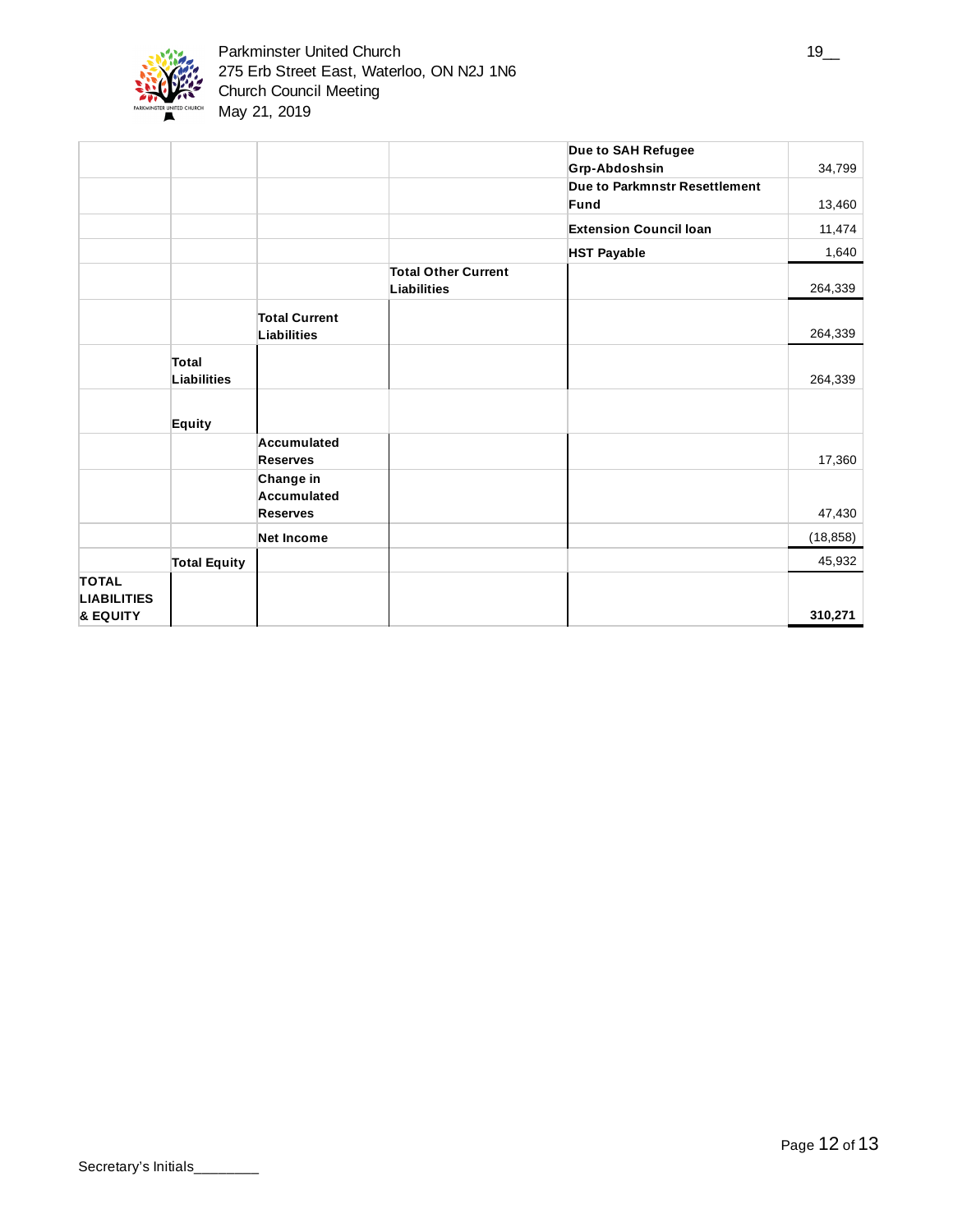

|                    |                     |                      |                            | Due to SAH Refugee            |           |
|--------------------|---------------------|----------------------|----------------------------|-------------------------------|-----------|
|                    |                     |                      |                            | Grp-Abdoshsin                 | 34,799    |
|                    |                     |                      |                            | Due to Parkmnstr Resettlement |           |
|                    |                     |                      |                            | Fund                          | 13,460    |
|                    |                     |                      |                            | <b>Extension Council loan</b> | 11,474    |
|                    |                     |                      |                            | <b>HST Payable</b>            | 1,640     |
|                    |                     |                      | <b>Total Other Current</b> |                               |           |
|                    |                     |                      | Liabilities                |                               | 264,339   |
|                    |                     | <b>Total Current</b> |                            |                               |           |
|                    |                     | <b>Liabilities</b>   |                            |                               | 264,339   |
|                    | <b>Total</b>        |                      |                            |                               |           |
|                    | Liabilities         |                      |                            |                               | 264,339   |
|                    |                     |                      |                            |                               |           |
|                    | Equity              |                      |                            |                               |           |
|                    |                     | Accumulated          |                            |                               |           |
|                    |                     | <b>Reserves</b>      |                            |                               | 17,360    |
|                    |                     | Change in            |                            |                               |           |
|                    |                     | Accumulated          |                            |                               |           |
|                    |                     | <b>Reserves</b>      |                            |                               | 47,430    |
|                    |                     | <b>Net Income</b>    |                            |                               | (18, 858) |
|                    | <b>Total Equity</b> |                      |                            |                               | 45,932    |
| <b>TOTAL</b>       |                     |                      |                            |                               |           |
| <b>LIABILITIES</b> |                     |                      |                            |                               | 310,271   |
| & EQUITY           |                     |                      |                            |                               |           |